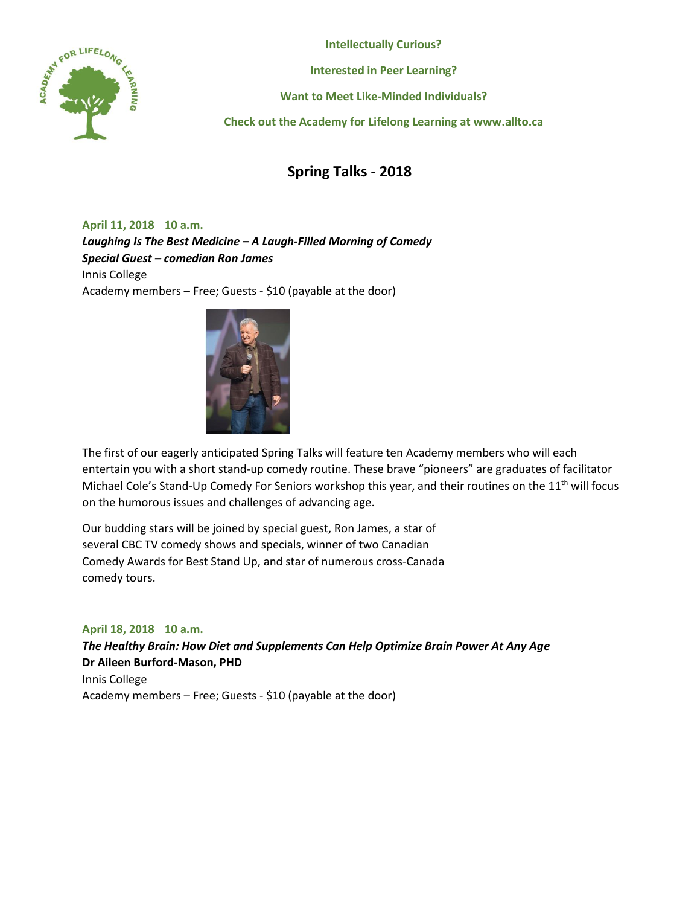

**Intellectually Curious?**

**Interested in Peer Learning?**

**Want to Meet Like-Minded Individuals?**

**Check out the Academy for Lifelong Learning at www.allto.ca**

# **Spring Talks - 2018**

**April 11, 2018 10 a.m.** *Laughing Is The Best Medicine – A Laugh-Filled Morning of Comedy Special Guest – comedian Ron James*  Innis College Academy members – Free; Guests - \$10 (payable at the door)



The first of our eagerly anticipated Spring Talks will feature ten Academy members who will each entertain you with a short stand-up comedy routine. These brave "pioneers" are graduates of facilitator Michael Cole's Stand-Up Comedy For Seniors workshop this year, and their routines on the 11<sup>th</sup> will focus on the humorous issues and challenges of advancing age.

Our budding stars will be joined by special guest, Ron James, a star of several CBC TV comedy shows and specials, winner of two Canadian Comedy Awards for Best Stand Up, and star of numerous cross-Canada comedy tours.

### **April 18, 2018 10 a.m.**

*The Healthy Brain: How Diet and Supplements Can Help Optimize Brain Power At Any Age* **Dr Aileen Burford-Mason, PHD** Innis College Academy members – Free; Guests - \$10 (payable at the door)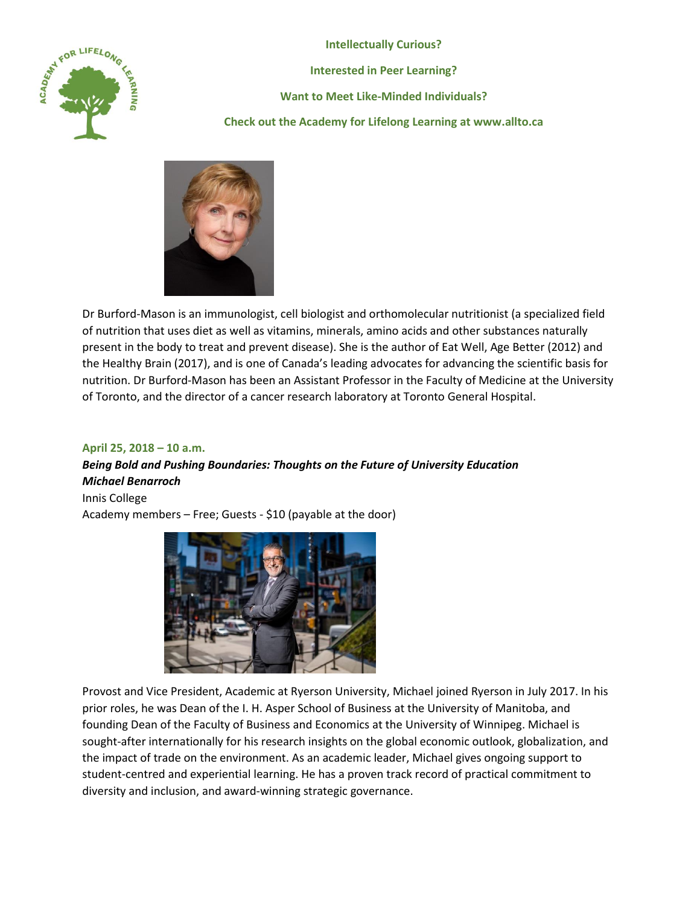

**Intellectually Curious? Interested in Peer Learning? Want to Meet Like-Minded Individuals? Check out the Academy for Lifelong Learning at www.allto.ca**



Dr Burford-Mason is an immunologist, cell biologist and orthomolecular nutritionist (a specialized field of nutrition that uses diet as well as vitamins, minerals, amino acids and other substances naturally present in the body to treat and prevent disease). She is the author of Eat Well, Age Better (2012) and the Healthy Brain (2017), and is one of Canada's leading advocates for advancing the scientific basis for nutrition. Dr Burford-Mason has been an Assistant Professor in the Faculty of Medicine at the University of Toronto, and the director of a cancer research laboratory at Toronto General Hospital.

### **April 25, 2018 – 10 a.m.**

## *Being Bold and Pushing Boundaries: Thoughts on the Future of University Education Michael Benarroch*

Innis College Academy members – Free; Guests - \$10 (payable at the door)



Provost and Vice President, Academic at Ryerson University, Michael joined Ryerson in July 2017. In his prior roles, he was Dean of the I. H. Asper School of Business at the University of Manitoba, and founding Dean of the Faculty of Business and Economics at the University of Winnipeg. Michael is sought-after internationally for his research insights on the global economic outlook, globalization, and the impact of trade on the environment. As an academic leader, Michael gives ongoing support to student-centred and experiential learning. He has a proven track record of practical commitment to diversity and inclusion, and award-winning strategic governance.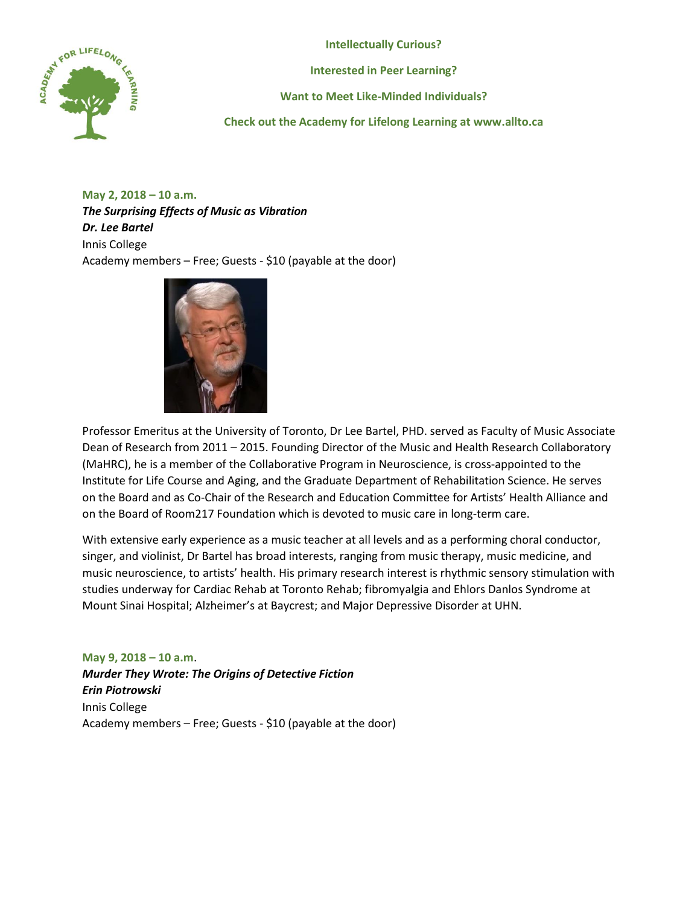**Intellectually Curious?**



**Interested in Peer Learning?**

**Want to Meet Like-Minded Individuals?**

**Check out the Academy for Lifelong Learning at www.allto.ca**

**May 2, 2018 – 10 a.m.** *The Surprising Effects of Music as Vibration Dr. Lee Bartel* Innis College Academy members – Free; Guests - \$10 (payable at the door)



Professor Emeritus at the University of Toronto, Dr Lee Bartel, PHD. served as Faculty of Music Associate Dean of Research from 2011 – 2015. Founding Director of the Music and Health Research Collaboratory (MaHRC), he is a member of the Collaborative Program in Neuroscience, is cross-appointed to the Institute for Life Course and Aging, and the Graduate Department of Rehabilitation Science. He serves on the Board and as Co-Chair of the Research and Education Committee for Artists' Health Alliance and on the Board of Room217 Foundation which is devoted to music care in long-term care.

With extensive early experience as a music teacher at all levels and as a performing choral conductor, singer, and violinist, Dr Bartel has broad interests, ranging from music therapy, music medicine, and music neuroscience, to artists' health. His primary research interest is rhythmic sensory stimulation with studies underway for Cardiac Rehab at Toronto Rehab; fibromyalgia and Ehlors Danlos Syndrome at Mount Sinai Hospital; Alzheimer's at Baycrest; and Major Depressive Disorder at UHN.

**May 9, 2018 – 10 a.m**. *Murder They Wrote: The Origins of Detective Fiction Erin Piotrowski* Innis College Academy members – Free; Guests - \$10 (payable at the door)